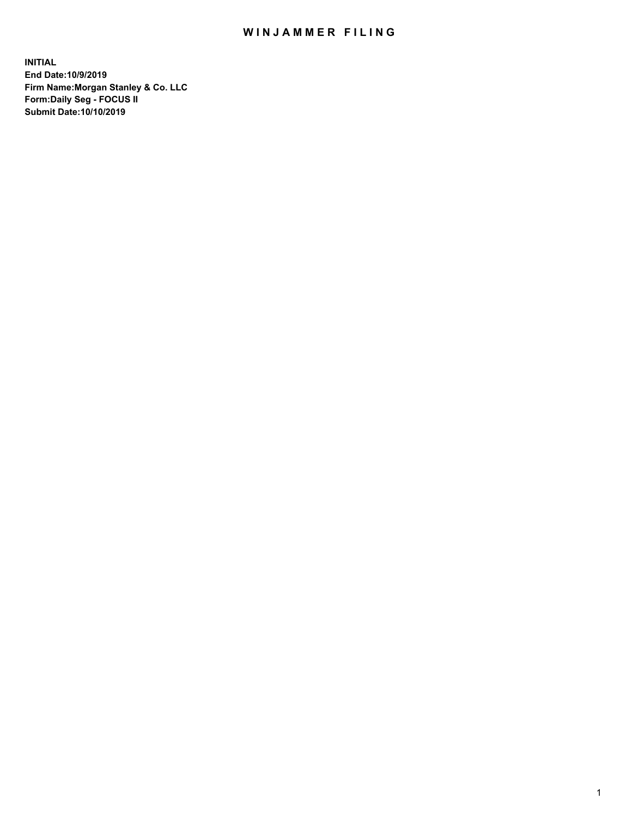## WIN JAMMER FILING

**INITIAL End Date:10/9/2019 Firm Name:Morgan Stanley & Co. LLC Form:Daily Seg - FOCUS II Submit Date:10/10/2019**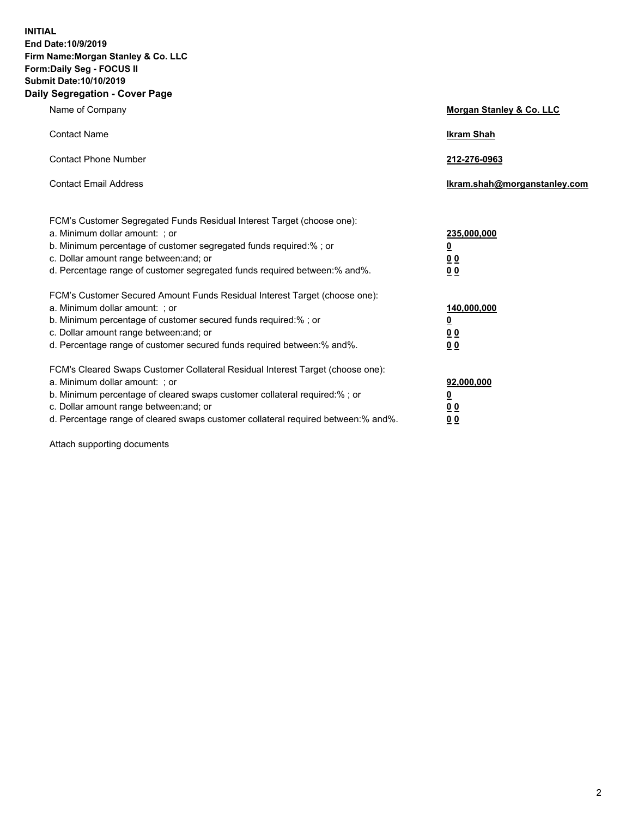**INITIAL End Date:10/9/2019 Firm Name:Morgan Stanley & Co. LLC Form:Daily Seg - FOCUS II Submit Date:10/10/2019 Daily Segregation - Cover Page**

| Name of Company                                                                                                                                                                                                                                                                                                               | Morgan Stanley & Co. LLC                                    |
|-------------------------------------------------------------------------------------------------------------------------------------------------------------------------------------------------------------------------------------------------------------------------------------------------------------------------------|-------------------------------------------------------------|
| <b>Contact Name</b>                                                                                                                                                                                                                                                                                                           | <b>Ikram Shah</b>                                           |
| <b>Contact Phone Number</b>                                                                                                                                                                                                                                                                                                   | 212-276-0963                                                |
| <b>Contact Email Address</b>                                                                                                                                                                                                                                                                                                  | Ikram.shah@morganstanley.com                                |
| FCM's Customer Segregated Funds Residual Interest Target (choose one):<br>a. Minimum dollar amount: ; or<br>b. Minimum percentage of customer segregated funds required:% ; or<br>c. Dollar amount range between: and; or<br>d. Percentage range of customer segregated funds required between:% and%.                        | 235,000,000<br><u>0</u><br><u>00</u><br>0 <sup>0</sup>      |
| FCM's Customer Secured Amount Funds Residual Interest Target (choose one):<br>a. Minimum dollar amount: ; or<br>b. Minimum percentage of customer secured funds required:%; or<br>c. Dollar amount range between: and; or<br>d. Percentage range of customer secured funds required between:% and%.                           | 140,000,000<br><u>0</u><br>0 <sub>0</sub><br>0 <sub>0</sub> |
| FCM's Cleared Swaps Customer Collateral Residual Interest Target (choose one):<br>a. Minimum dollar amount: ; or<br>b. Minimum percentage of cleared swaps customer collateral required:%; or<br>c. Dollar amount range between: and; or<br>d. Percentage range of cleared swaps customer collateral required between:% and%. | 92,000,000<br><u>0</u><br>0 Q<br>00                         |

Attach supporting documents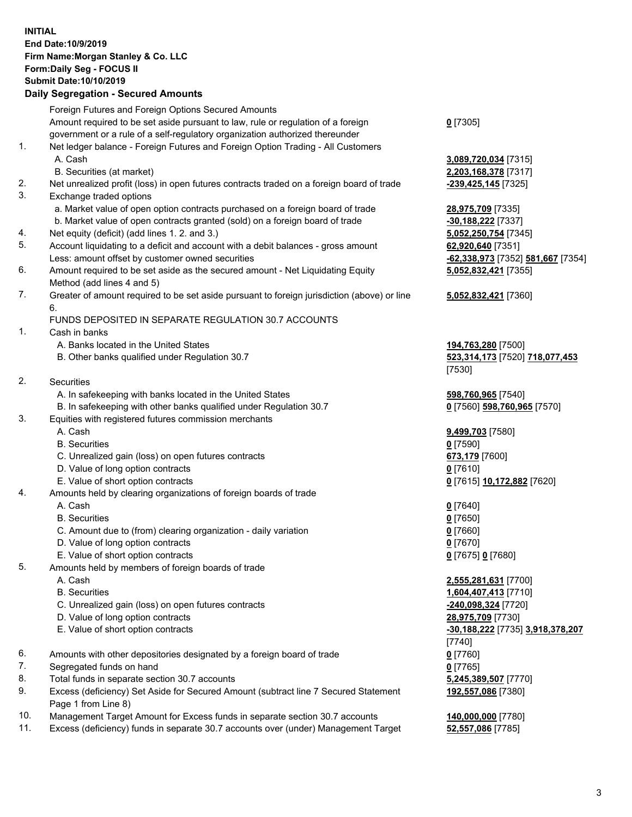## **INITIAL End Date:10/9/2019 Firm Name:Morgan Stanley & Co. LLC Form:Daily Seg - FOCUS II Submit Date:10/10/2019**

## **Daily Segregation - Secured Amounts**

|    | Foreign Futures and Foreign Options Secured Amounts                                         |                                   |
|----|---------------------------------------------------------------------------------------------|-----------------------------------|
|    | Amount required to be set aside pursuant to law, rule or regulation of a foreign            | $0$ [7305]                        |
|    | government or a rule of a self-regulatory organization authorized thereunder                |                                   |
| 1. | Net ledger balance - Foreign Futures and Foreign Option Trading - All Customers             |                                   |
|    | A. Cash                                                                                     | 3,089,720,034 [7315]              |
|    | B. Securities (at market)                                                                   | 2,203,168,378 [7317]              |
| 2. | Net unrealized profit (loss) in open futures contracts traded on a foreign board of trade   | -239,425,145 [7325]               |
| 3. | Exchange traded options                                                                     |                                   |
|    | a. Market value of open option contracts purchased on a foreign board of trade              | 28,975,709 [7335]                 |
|    | b. Market value of open contracts granted (sold) on a foreign board of trade                | -30,188,222 [7337]                |
| 4. | Net equity (deficit) (add lines 1.2. and 3.)                                                | 5,052,250,754 [7345]              |
| 5. | Account liquidating to a deficit and account with a debit balances - gross amount           | 62,920,640 [7351]                 |
|    | Less: amount offset by customer owned securities                                            | -62,338,973 [7352] 581,667 [7354] |
| 6. | Amount required to be set aside as the secured amount - Net Liquidating Equity              | 5,052,832,421 [7355]              |
|    | Method (add lines 4 and 5)                                                                  |                                   |
| 7. | Greater of amount required to be set aside pursuant to foreign jurisdiction (above) or line | 5,052,832,421 [7360]              |
|    | 6.                                                                                          |                                   |
|    | FUNDS DEPOSITED IN SEPARATE REGULATION 30.7 ACCOUNTS                                        |                                   |
| 1. | Cash in banks                                                                               |                                   |
|    | A. Banks located in the United States                                                       | 194,763,280 [7500]                |
|    | B. Other banks qualified under Regulation 30.7                                              | 523,314,173 [7520] 718,077,453    |
|    |                                                                                             | [7530]                            |
| 2. | Securities                                                                                  |                                   |
|    | A. In safekeeping with banks located in the United States                                   | 598,760,965 [7540]                |
|    | B. In safekeeping with other banks qualified under Regulation 30.7                          | 0 [7560] 598,760,965 [7570]       |
| 3. | Equities with registered futures commission merchants                                       |                                   |
|    | A. Cash                                                                                     | 9,499,703 [7580]                  |
|    | <b>B.</b> Securities                                                                        | $0$ [7590]                        |
|    | C. Unrealized gain (loss) on open futures contracts                                         | 673,179 [7600]                    |
|    | D. Value of long option contracts                                                           | $0$ [7610]                        |
|    | E. Value of short option contracts                                                          | 0 [7615] 10,172,882 [7620]        |
| 4. | Amounts held by clearing organizations of foreign boards of trade                           |                                   |
|    | A. Cash                                                                                     | $0$ [7640]                        |
|    | <b>B.</b> Securities                                                                        | $0$ [7650]                        |
|    |                                                                                             |                                   |
|    | C. Amount due to (from) clearing organization - daily variation                             | $0$ [7660]                        |
|    | D. Value of long option contracts                                                           | $0$ [7670]                        |
| 5. | E. Value of short option contracts                                                          | 0 [7675] 0 [7680]                 |
|    | Amounts held by members of foreign boards of trade                                          |                                   |
|    | A. Cash                                                                                     | 2,555,281,631 [7700]              |
|    | <b>B.</b> Securities                                                                        | 1,604,407,413 [7710]              |
|    | C. Unrealized gain (loss) on open futures contracts                                         | -240,098,324 [7720]               |
|    | D. Value of long option contracts                                                           | 28,975,709 [7730]                 |
|    | E. Value of short option contracts                                                          | -30,188,222 [7735] 3,918,378,207  |
|    |                                                                                             | [7740]                            |
| 6. | Amounts with other depositories designated by a foreign board of trade                      | $0$ [7760]                        |
| 7. | Segregated funds on hand                                                                    | $0$ [7765]                        |
| 8. | Total funds in separate section 30.7 accounts                                               | 5,245,389,507 [7770]              |
| 9. | Excess (deficiency) Set Aside for Secured Amount (subtract line 7 Secured Statement         | 192,557,086 [7380]                |
|    | Page 1 from Line 8)                                                                         |                                   |
|    |                                                                                             | 10.0000000077001                  |

- 10. Management Target Amount for Excess funds in separate section 30.7 accounts **140,000,000** [7780]
- 11. Excess (deficiency) funds in separate 30.7 accounts over (under) Management Target **52,557,086** [7785]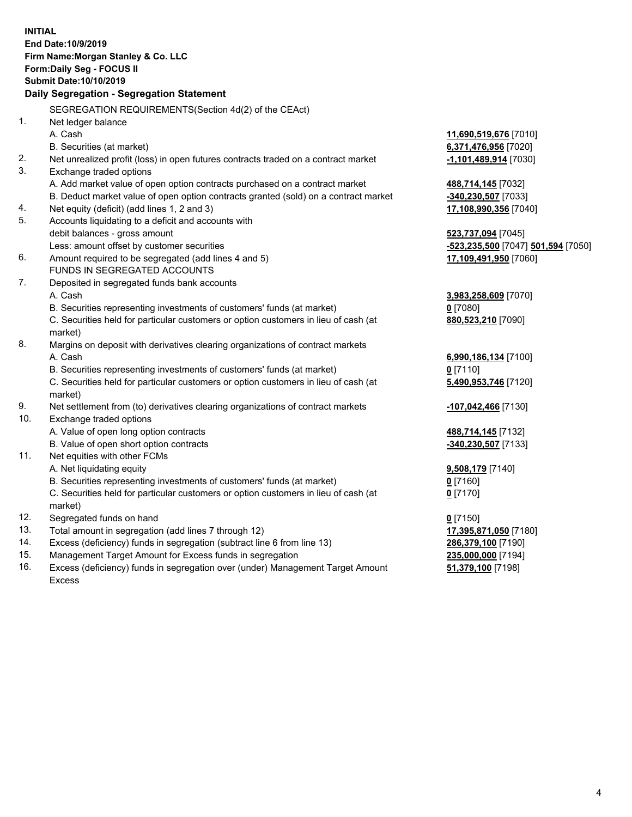**INITIAL End Date:10/9/2019 Firm Name:Morgan Stanley & Co. LLC Form:Daily Seg - FOCUS II Submit Date:10/10/2019 Daily Segregation - Segregation Statement** SEGREGATION REQUIREMENTS(Section 4d(2) of the CEAct) 1. Net ledger balance A. Cash **11,690,519,676** [7010] B. Securities (at market) **6,371,476,956** [7020] 2. Net unrealized profit (loss) in open futures contracts traded on a contract market **-1,101,489,914** [7030] 3. Exchange traded options A. Add market value of open option contracts purchased on a contract market **488,714,145** [7032] B. Deduct market value of open option contracts granted (sold) on a contract market **-340,230,507** [7033] 4. Net equity (deficit) (add lines 1, 2 and 3) **17,108,990,356** [7040] 5. Accounts liquidating to a deficit and accounts with debit balances - gross amount **523,737,094** [7045] Less: amount offset by customer securities **-523,235,500** [7047] **501,594** [7050] 6. Amount required to be segregated (add lines 4 and 5) **17,109,491,950** [7060] FUNDS IN SEGREGATED ACCOUNTS 7. Deposited in segregated funds bank accounts A. Cash **3,983,258,609** [7070] B. Securities representing investments of customers' funds (at market) **0** [7080] C. Securities held for particular customers or option customers in lieu of cash (at market) **880,523,210** [7090] 8. Margins on deposit with derivatives clearing organizations of contract markets A. Cash **6,990,186,134** [7100] B. Securities representing investments of customers' funds (at market) **0** [7110] C. Securities held for particular customers or option customers in lieu of cash (at market) **5,490,953,746** [7120] 9. Net settlement from (to) derivatives clearing organizations of contract markets **-107,042,466** [7130] 10. Exchange traded options A. Value of open long option contracts **488,714,145** [7132] B. Value of open short option contracts **-340,230,507** [7133] 11. Net equities with other FCMs A. Net liquidating equity **9,508,179** [7140] B. Securities representing investments of customers' funds (at market) **0** [7160] C. Securities held for particular customers or option customers in lieu of cash (at market) **0** [7170] 12. Segregated funds on hand **0** [7150] 13. Total amount in segregation (add lines 7 through 12) **17,395,871,050** [7180] 14. Excess (deficiency) funds in segregation (subtract line 6 from line 13) **286,379,100** [7190] 15. Management Target Amount for Excess funds in segregation **235,000,000** [7194]

16. Excess (deficiency) funds in segregation over (under) Management Target Amount Excess

**51,379,100** [7198]